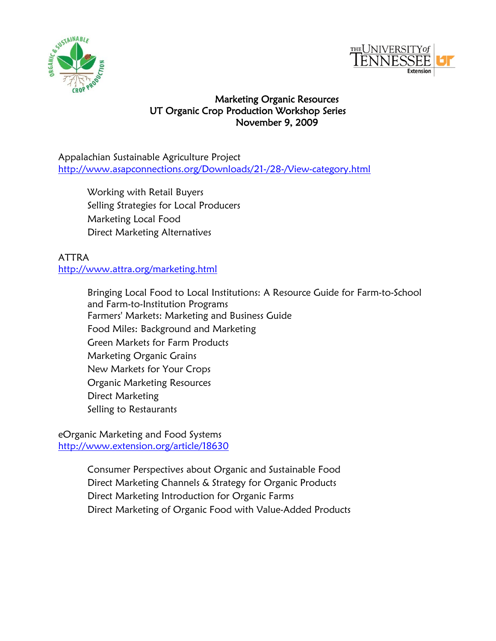



## Marketing Organic Resources UT Organic Crop Production Workshop Series November 9, 2009

Appalachian Sustainable Agriculture Project <http://www.asapconnections.org/Downloads/21-/28-/View-category.html>

Working with Retail Buyers Selling Strategies for Local Producers Marketing Local Food Direct Marketing Alternatives

## ATTRA <http://www.attra.org/marketing.html>

Bringing Local Food to Local Institutions: A Resource Guide for Farm-to-School and Farm-to-Institution Programs Farmers' Markets: Marketing and Business Guide Food Miles: Background and Marketing Green Markets for Farm Products Marketing Organic Grains New Markets for Your Crops Organic Marketing Resources Direct Marketing Selling to Restaurants

eOrganic Marketing and Food Systems <http://www.extension.org/article/18630>

> Consumer Perspectives about Organic and Sustainable Food [Direct Marketing Channels & Strategy for Organic Products](http://www.extension.org/article/18381) [Direct Marketing Introduction for Organic Farms](http://www.extension.org/article/18376) [Direct Marketing of Organic Food with Value-Added Products](http://www.extension.org/article/18379)